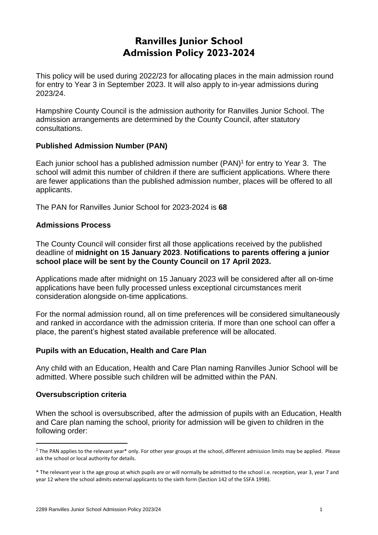# **Ranvilles Junior School Admission Policy 2023-2024**

This policy will be used during 2022/23 for allocating places in the main admission round for entry to Year 3 in September 2023. It will also apply to in-year admissions during 2023/24.

Hampshire County Council is the admission authority for Ranvilles Junior School. The admission arrangements are determined by the County Council, after statutory consultations.

## **Published Admission Number (PAN)**

Each junior school has a published admission number (PAN) 1 for entry to Year 3. The school will admit this number of children if there are sufficient applications. Where there are fewer applications than the published admission number, places will be offered to all applicants.

The PAN for Ranvilles Junior School for 2023-2024 is **68**

## **Admissions Process**

The County Council will consider first all those applications received by the published deadline of **midnight on 15 January 2023**. **Notifications to parents offering a junior school place will be sent by the County Council on 17 April 2023.**

Applications made after midnight on 15 January 2023 will be considered after all on-time applications have been fully processed unless exceptional circumstances merit consideration alongside on-time applications.

For the normal admission round, all on time preferences will be considered simultaneously and ranked in accordance with the admission criteria. If more than one school can offer a place, the parent's highest stated available preference will be allocated.

#### **Pupils with an Education, Health and Care Plan**

Any child with an Education, Health and Care Plan naming Ranvilles Junior School will be admitted. Where possible such children will be admitted within the PAN.

#### **Oversubscription criteria**

-

When the school is oversubscribed, after the admission of pupils with an Education, Health and Care plan naming the school, priority for admission will be given to children in the following order:

 $1$  The PAN applies to the relevant year\* only. For other year groups at the school, different admission limits may be applied. Please ask the school or local authority for details.

<sup>\*</sup> The relevant year is the age group at which pupils are or will normally be admitted to the school i.e. reception, year 3, year 7 and year 12 where the school admits external applicants to the sixth form (Section 142 of the SSFA 1998).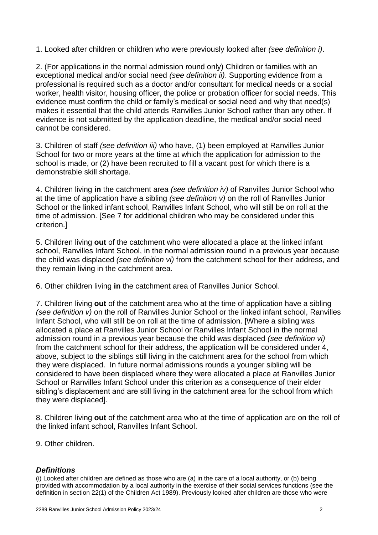1. Looked after children or children who were previously looked after *(see definition i)*.

2. (For applications in the normal admission round only) Children or families with an exceptional medical and/or social need *(see definition ii)*. Supporting evidence from a professional is required such as a doctor and/or consultant for medical needs or a social worker, health visitor, housing officer, the police or probation officer for social needs. This evidence must confirm the child or family's medical or social need and why that need(s) makes it essential that the child attends Ranvilles Junior School rather than any other. If evidence is not submitted by the application deadline, the medical and/or social need cannot be considered.

3. Children of staff *(see definition iii)* who have, (1) been employed at Ranvilles Junior School for two or more years at the time at which the application for admission to the school is made, or (2) have been recruited to fill a vacant post for which there is a demonstrable skill shortage.

4. Children living **in** the catchment area *(see definition iv)* of Ranvilles Junior School who at the time of application have a sibling *(see definition v)* on the roll of Ranvilles Junior School or the linked infant school, Ranvilles Infant School, who will still be on roll at the time of admission. [See 7 for additional children who may be considered under this criterion.]

5. Children living **out** of the catchment who were allocated a place at the linked infant school, Ranvilles Infant School, in the normal admission round in a previous year because the child was displaced *(see definition vi)* from the catchment school for their address, and they remain living in the catchment area.

6. Other children living **in** the catchment area of Ranvilles Junior School.

7. Children living **out** of the catchment area who at the time of application have a sibling *(see definition v)* on the roll of Ranvilles Junior School or the linked infant school, Ranvilles Infant School, who will still be on roll at the time of admission. [Where a sibling was allocated a place at Ranvilles Junior School or Ranvilles Infant School in the normal admission round in a previous year because the child was displaced *(see definition vi)*  from the catchment school for their address, the application will be considered under 4, above, subject to the siblings still living in the catchment area for the school from which they were displaced. In future normal admissions rounds a younger sibling will be considered to have been displaced where they were allocated a place at Ranvilles Junior School or Ranvilles Infant School under this criterion as a consequence of their elder sibling's displacement and are still living in the catchment area for the school from which they were displaced].

8. Children living **out** of the catchment area who at the time of application are on the roll of the linked infant school, Ranvilles Infant School.

9. Other children.

#### *Definitions*

(i) Looked after children are defined as those who are (a) in the care of a local authority, or (b) being provided with accommodation by a local authority in the exercise of their social services functions (see the definition in section 22(1) of the Children Act 1989). Previously looked after children are those who were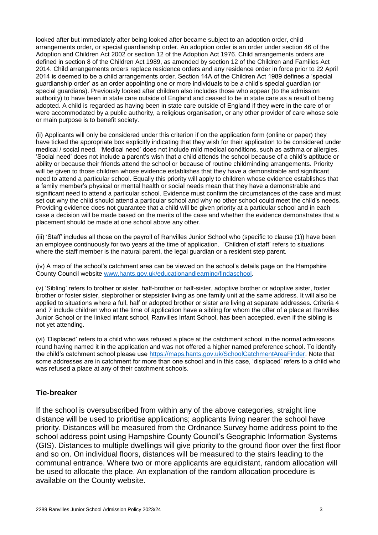looked after but immediately after being looked after became subject to an adoption order, child arrangements order, or special guardianship order. An adoption order is an order under section 46 of the Adoption and Children Act 2002 or section 12 of the Adoption Act 1976. Child arrangements orders are defined in section 8 of the Children Act 1989, as amended by section 12 of the Children and Families Act 2014. Child arrangements orders replace residence orders and any residence order in force prior to 22 April 2014 is deemed to be a child arrangements order. Section 14A of the Children Act 1989 defines a 'special guardianship order' as an order appointing one or more individuals to be a child's special guardian (or special guardians). Previously looked after children also includes those who appear (to the admission authority) to have been in state care outside of England and ceased to be in state care as a result of being adopted. A child is regarded as having been in state care outside of England if they were in the care of or were accommodated by a public authority, a religious organisation, or any other provider of care whose sole or main purpose is to benefit society.

(ii) Applicants will only be considered under this criterion if on the application form (online or paper) they have ticked the appropriate box explicitly indicating that they wish for their application to be considered under medical / social need. 'Medical need' does not include mild medical conditions, such as asthma or allergies. 'Social need' does not include a parent's wish that a child attends the school because of a child's aptitude or ability or because their friends attend the school or because of routine childminding arrangements. Priority will be given to those children whose evidence establishes that they have a demonstrable and significant need to attend a particular school. Equally this priority will apply to children whose evidence establishes that a family member's physical or mental health or social needs mean that they have a demonstrable and significant need to attend a particular school. Evidence must confirm the circumstances of the case and must set out why the child should attend a particular school and why no other school could meet the child's needs. Providing evidence does not guarantee that a child will be given priority at a particular school and in each case a decision will be made based on the merits of the case and whether the evidence demonstrates that a placement should be made at one school above any other.

(iii) 'Staff' includes all those on the payroll of Ranvilles Junior School who (specific to clause (1)) have been an employee continuously for two years at the time of application. 'Children of staff' refers to situations where the staff member is the natural parent, the legal guardian or a resident step parent.

(iv) A map of the school's catchment area can be viewed on the school's details page on the Hampshire County Council website [www.hants.gov.uk/educationandlearning/findaschool.](http://www.hants.gov.uk/educationandlearning/findaschool)

(v) 'Sibling' refers to brother or sister, half-brother or half-sister, adoptive brother or adoptive sister, foster brother or foster sister, stepbrother or stepsister living as one family unit at the same address. It will also be applied to situations where a full, half or adopted brother or sister are living at separate addresses. Criteria 4 and 7 include children who at the time of application have a sibling for whom the offer of a place at Ranvilles Junior School or the linked infant school, Ranvilles Infant School, has been accepted, even if the sibling is not yet attending.

(vi) 'Displaced' refers to a child who was refused a place at the catchment school in the normal admissions round having named it in the application and was not offered a higher named preference school. To identify the child's catchment school please use [https://maps.hants.gov.uk/SchoolCatchmentAreaFinder.](https://maps.hants.gov.uk/SchoolCatchmentAreaFinder/) Note that some addresses are in catchment for more than one school and in this case, 'displaced' refers to a child who was refused a place at any of their catchment schools.

#### **Tie-breaker**

If the school is oversubscribed from within any of the above categories, straight line distance will be used to prioritise applications; applicants living nearer the school have priority. Distances will be measured from the Ordnance Survey home address point to the school address point using Hampshire County Council's Geographic Information Systems (GIS). Distances to multiple dwellings will give priority to the ground floor over the first floor and so on. On individual floors, distances will be measured to the stairs leading to the communal entrance. Where two or more applicants are equidistant, random allocation will be used to allocate the place. An explanation of the random allocation procedure is available on the County website.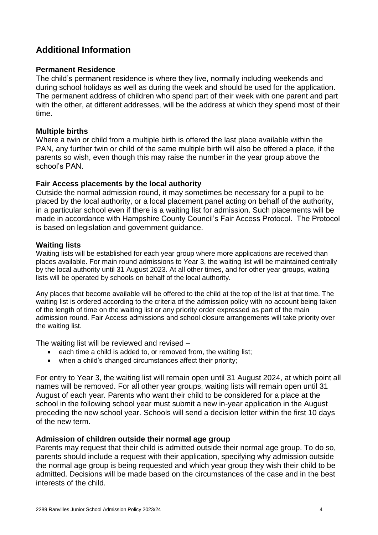# **Additional Information**

#### **Permanent Residence**

The child's permanent residence is where they live, normally including weekends and during school holidays as well as during the week and should be used for the application. The permanent address of children who spend part of their week with one parent and part with the other, at different addresses, will be the address at which they spend most of their time.

#### **Multiple births**

Where a twin or child from a multiple birth is offered the last place available within the PAN, any further twin or child of the same multiple birth will also be offered a place, if the parents so wish, even though this may raise the number in the year group above the school's PAN

#### **Fair Access placements by the local authority**

Outside the normal admission round, it may sometimes be necessary for a pupil to be placed by the local authority, or a local placement panel acting on behalf of the authority, in a particular school even if there is a waiting list for admission. Such placements will be made in accordance with Hampshire County Council's Fair Access Protocol. The Protocol is based on legislation and government guidance.

#### **Waiting lists**

Waiting lists will be established for each year group where more applications are received than places available. For main round admissions to Year 3, the waiting list will be maintained centrally by the local authority until 31 August 2023. At all other times, and for other year groups, waiting lists will be operated by schools on behalf of the local authority.

Any places that become available will be offered to the child at the top of the list at that time. The waiting list is ordered according to the criteria of the admission policy with no account being taken of the length of time on the waiting list or any priority order expressed as part of the main admission round. Fair Access admissions and school closure arrangements will take priority over the waiting list.

The waiting list will be reviewed and revised –

- each time a child is added to, or removed from, the waiting list;
- when a child's changed circumstances affect their priority;

For entry to Year 3, the waiting list will remain open until 31 August 2024, at which point all names will be removed. For all other year groups, waiting lists will remain open until 31 August of each year. Parents who want their child to be considered for a place at the school in the following school year must submit a new in-year application in the August preceding the new school year. Schools will send a decision letter within the first 10 days of the new term.

#### **Admission of children outside their normal age group**

Parents may request that their child is admitted outside their normal age group. To do so, parents should include a request with their application, specifying why admission outside the normal age group is being requested and which year group they wish their child to be admitted. Decisions will be made based on the circumstances of the case and in the best interests of the child.